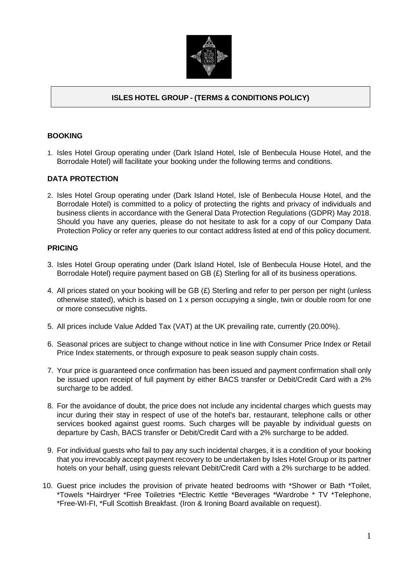

# **ISLES HOTEL GROUP - (TERMS & CONDITIONS POLICY)**

### **BOOKING**

1. Isles Hotel Group operating under (Dark Island Hotel, Isle of Benbecula House Hotel, and the Borrodale Hotel) will facilitate your booking under the following terms and conditions.

### **DATA PROTECTION**

2. Isles Hotel Group operating under (Dark Island Hotel, Isle of Benbecula House Hotel, and the Borrodale Hotel) is committed to a policy of protecting the rights and privacy of individuals and business clients in accordance with the General Data Protection Regulations (GDPR) May 2018. Should you have any queries, please do not hesitate to ask for a copy of our Company Data Protection Policy or refer any queries to our contact address listed at end of this policy document.

#### **PRICING**

- 3. Isles Hotel Group operating under (Dark Island Hotel, Isle of Benbecula House Hotel, and the Borrodale Hotel) require payment based on GB (£) Sterling for all of its business operations.
- 4. All prices stated on your booking will be GB (£) Sterling and refer to per person per night (unless otherwise stated), which is based on 1 x person occupying a single, twin or double room for one or more consecutive nights.
- 5. All prices include Value Added Tax (VAT) at the UK prevailing rate, currently (20.00%).
- 6. Seasonal prices are subject to change without notice in line with Consumer Price Index or Retail Price Index statements, or through exposure to peak season supply chain costs.
- 7. Your price is guaranteed once confirmation has been issued and payment confirmation shall only be issued upon receipt of full payment by either BACS transfer or Debit/Credit Card with a 2% surcharge to be added.
- 8. For the avoidance of doubt, the price does not include any incidental charges which guests may incur during their stay in respect of use of the hotel's bar, restaurant, telephone calls or other services booked against guest rooms. Such charges will be payable by individual guests on departure by Cash, BACS transfer or Debit/Credit Card with a 2% surcharge to be added.
- 9. For individual guests who fail to pay any such incidental charges, it is a condition of your booking that you irrevocably accept payment recovery to be undertaken by Isles Hotel Group or its partner hotels on your behalf, using guests relevant Debit/Credit Card with a 2% surcharge to be added.
- 10. Guest price includes the provision of private heated bedrooms with \*Shower or Bath \*Toilet, \*Towels \*Hairdryer \*Free Toiletries \*Electric Kettle \*Beverages \*Wardrobe \* TV \*Telephone, \*Free-WI-FI, \*Full Scottish Breakfast. (Iron & Ironing Board available on request).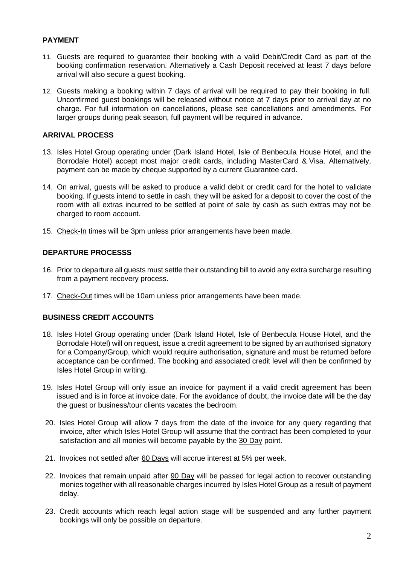## **PAYMENT**

- 11. Guests are required to guarantee their booking with a valid Debit/Credit Card as part of the booking confirmation reservation. Alternatively a Cash Deposit received at least 7 days before arrival will also secure a guest booking.
- 12. Guests making a booking within 7 days of arrival will be required to pay their booking in full. Unconfirmed guest bookings will be released without notice at 7 days prior to arrival day at no charge. For full information on cancellations, please see cancellations and amendments. For larger groups during peak season, full payment will be required in advance.

## **ARRIVAL PROCESS**

- 13. Isles Hotel Group operating under (Dark Island Hotel, Isle of Benbecula House Hotel, and the Borrodale Hotel) accept most major credit cards, including MasterCard & Visa. Alternatively, payment can be made by cheque supported by a current Guarantee card.
- 14. On arrival, guests will be asked to produce a valid debit or credit card for the hotel to validate booking. If guests intend to settle in cash, they will be asked for a deposit to cover the cost of the room with all extras incurred to be settled at point of sale by cash as such extras may not be charged to room account.
- 15. Check-In times will be 3pm unless prior arrangements have been made.

# **DEPARTURE PROCESSS**

- 16. Prior to departure all guests must settle their outstanding bill to avoid any extra surcharge resulting from a payment recovery process.
- 17. Check-Out times will be 10am unless prior arrangements have been made.

## **BUSINESS CREDIT ACCOUNTS**

- 18. Isles Hotel Group operating under (Dark Island Hotel, Isle of Benbecula House Hotel, and the Borrodale Hotel) will on request, issue a credit agreement to be signed by an authorised signatory for a Company/Group, which would require authorisation, signature and must be returned before acceptance can be confirmed. The booking and associated credit level will then be confirmed by Isles Hotel Group in writing.
- 19. Isles Hotel Group will only issue an invoice for payment if a valid credit agreement has been issued and is in force at invoice date. For the avoidance of doubt, the invoice date will be the day the guest or business/tour clients vacates the bedroom.
- 20. Isles Hotel Group will allow 7 days from the date of the invoice for any query regarding that invoice, after which Isles Hotel Group will assume that the contract has been completed to your satisfaction and all monies will become payable by the 30 Day point.
- 21. Invoices not settled after 60 Days will accrue interest at 5% per week.
- 22. Invoices that remain unpaid after 90 Day will be passed for legal action to recover outstanding monies together with all reasonable charges incurred by Isles Hotel Group as a result of payment delay.
- 23. Credit accounts which reach legal action stage will be suspended and any further payment bookings will only be possible on departure.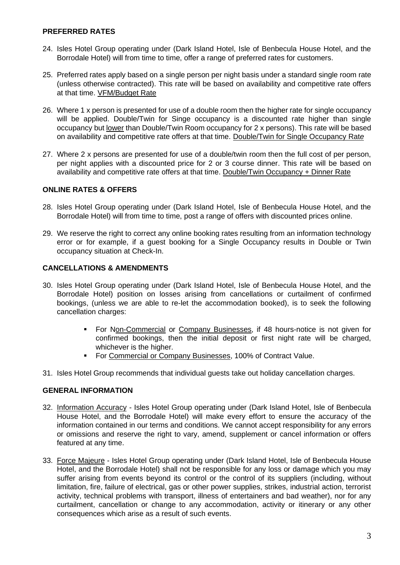## **PREFERRED RATES**

- 24. Isles Hotel Group operating under (Dark Island Hotel, Isle of Benbecula House Hotel, and the Borrodale Hotel) will from time to time, offer a range of preferred rates for customers.
- 25. Preferred rates apply based on a single person per night basis under a standard single room rate (unless otherwise contracted). This rate will be based on availability and competitive rate offers at that time. VFM/Budget Rate
- 26. Where 1 x person is presented for use of a double room then the higher rate for single occupancy will be applied. Double/Twin for Singe occupancy is a discounted rate higher than single occupancy but lower than Double/Twin Room occupancy for 2 x persons). This rate will be based on availability and competitive rate offers at that time. Double/Twin for Single Occupancy Rat*e*
- 27. Where 2 x persons are presented for use of a double/twin room then the full cost of per person, per night applies with a discounted price for 2 or 3 course dinner. This rate will be based on availability and competitive rate offers at that time. Double/Twin Occupancy + Dinner Rate

#### **ONLINE RATES & OFFERS**

- 28. Isles Hotel Group operating under (Dark Island Hotel, Isle of Benbecula House Hotel, and the Borrodale Hotel) will from time to time, post a range of offers with discounted prices online.
- 29. We reserve the right to correct any online booking rates resulting from an information technology error or for example, if a guest booking for a Single Occupancy results in Double or Twin occupancy situation at Check-In.

### **CANCELLATIONS & AMENDMENTS**

- 30. Isles Hotel Group operating under (Dark Island Hotel, Isle of Benbecula House Hotel, and the Borrodale Hotel) position on losses arising from cancellations or curtailment of confirmed bookings, (unless we are able to re-let the accommodation booked), is to seek the following cancellation charges:
	- For Non-Commercial or Company Businesses, if 48 hours-notice is not given for confirmed bookings, then the initial deposit or first night rate will be charged, whichever is the higher.
	- For Commercial or Company Businesses, 100% of Contract Value.
- 31. Isles Hotel Group recommends that individual guests take out holiday cancellation charges.

#### **GENERAL INFORMATION**

- 32. Information Accuracy Isles Hotel Group operating under (Dark Island Hotel, Isle of Benbecula House Hotel, and the Borrodale Hotel) will make every effort to ensure the accuracy of the information contained in our terms and conditions. We cannot accept responsibility for any errors or omissions and reserve the right to vary, amend, supplement or cancel information or offers featured at any time.
- 33. Force Majeure Isles Hotel Group operating under (Dark Island Hotel, Isle of Benbecula House Hotel, and the Borrodale Hotel) shall not be responsible for any loss or damage which you may suffer arising from events beyond its control or the control of its suppliers (including, without limitation, fire, failure of electrical, gas or other power supplies, strikes, industrial action, terrorist activity, technical problems with transport, illness of entertainers and bad weather), nor for any curtailment, cancellation or change to any accommodation, activity or itinerary or any other consequences which arise as a result of such events.